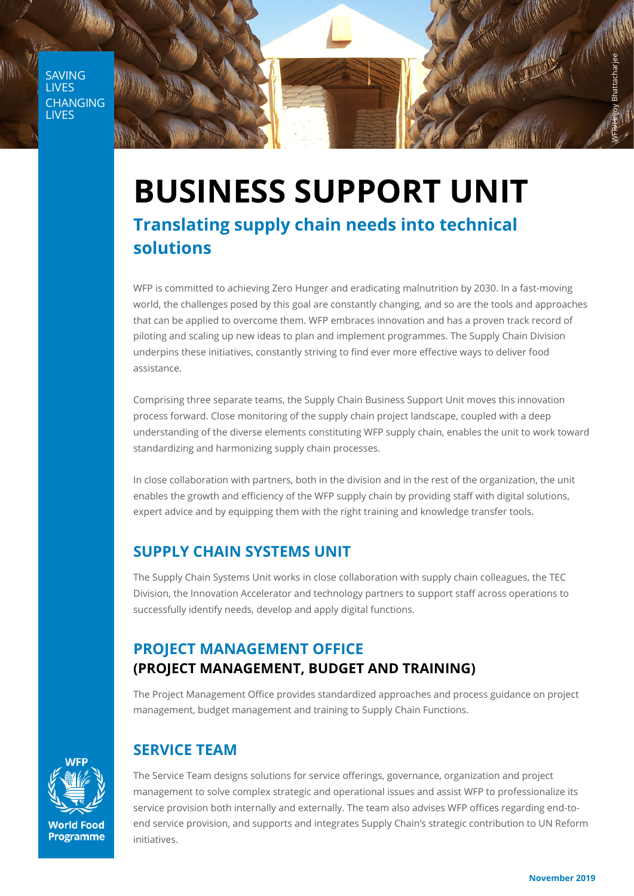**SAVING LIVES CHANGING** LIVES



# **BUSINESS SUPPORT UNIT Translating supply chain needs into technical solutions**

WFP is committed to achieving Zero Hunger and eradicating malnutrition by 2030. In a fast-moving world, the challenges posed by this goal are constantly changing, and so are the tools and approaches that can be applied to overcome them. WFP embraces innovation and has a proven track record of piloting and scaling up new ideas to plan and implement programmes. The Supply Chain Division underpins these initiatives, constantly striving to find ever more effective ways to deliver food assistance.

Comprising three separate teams, the Supply Chain Business Support Unit moves this innovation process forward. Close monitoring of the supply chain project landscape, coupled with a deep understanding of the diverse elements constituting WFP supply chain, enables the unit to work toward standardizing and harmonizing supply chain processes.

In close collaboration with partners, both in the division and in the rest of the organization, the unit enables the growth and efficiency of the WFP supply chain by providing staff with digital solutions, expert advice and by equipping them with the right training and knowledge transfer tools.

# **SUPPLY CHAIN SYSTEMS UNIT**

The Supply Chain Systems Unit works in close collaboration with supply chain colleagues, the TEC Division, the Innovation Accelerator and technology partners to support staff across operations to successfully identify needs, develop and apply digital functions.

#### **PROJECT MANAGEMENT OFFICE (PROJECT MANAGEMENT, BUDGET AND TRAINING)**

The Project Management Office provides standardized approaches and process guidance on project management, budget management and training to Supply Chain Functions.



**Programme** 

## **SERVICE TEAM**

The Service Team designs solutions for service offerings, governance, organization and project management to solve complex strategic and operational issues and assist WFP to professionalize its service provision both internally and externally. The team also advises WFP offices regarding end-toend service provision, and supports and integrates Supply Chain's strategic contribution to UN Reform initiatives.